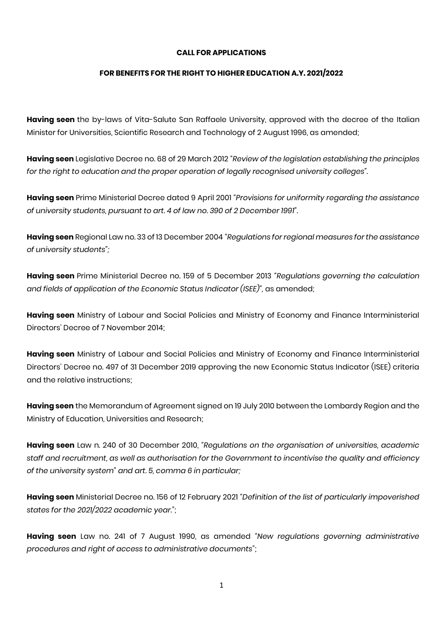### **CALL FOR APPLICATIONS**

### **FOR BENEFITS FOR THE RIGHT TO HIGHER EDUCATION A.Y. 2021/2022**

**Having seen** the by-laws of Vita-Salute San Raffaele University, approved with the decree of the Italian Minister for Universities, Scientific Research and Technology of 2 August 1996, as amended;

**Having seen** Legislative Decree no. 68 of 29 March 2012 *"Review of the legislation establishing the principles for the right to education and the proper operation of legally recognised university colleges".*

**Having seen** Prime Ministerial Decree dated 9 April 2001 *"Provisions for uniformity regarding the assistance of university students, pursuant to art. 4 of law no. 390 of 2 December 1991".*

**Having seen** Regional Law no. 33 of 13 December 2004 *"Regulations for regional measures for the assistance of university students";*

**Having seen** Prime Ministerial Decree no. 159 of 5 December 2013 *"Regulations governing the calculation and fields of application of the Economic Status Indicator (ISEE)",* as amended;

**Having seen** Ministry of Labour and Social Policies and Ministry of Economy and Finance Interministerial Directors' Decree of 7 November 2014;

**Having seen** Ministry of Labour and Social Policies and Ministry of Economy and Finance Interministerial Directors' Decree no. 497 of 31 December 2019 approving the new Economic Status Indicator (ISEE) criteria and the relative instructions;

**Having seen** the Memorandum of Agreement signed on 19 July 2010 between the Lombardy Region and the Ministry of Education, Universities and Research;

**Having seen** Law n. 240 of 30 December 2010, *"Regulations on the organisation of universities, academic staff and recruitment, as well as authorisation for the Government to incentivise the quality and efficiency of the university system" and art. 5, comma 6 in particular;*

**Having seen** Ministerial Decree no. 156 of 12 February 2021 *"Definition of the list of particularly impoverished states for the 2021/2022 academic year.*";

**Having seen** Law no. 241 of 7 August 1990, as amended *"New regulations governing administrative procedures and right of access to administrative documents*";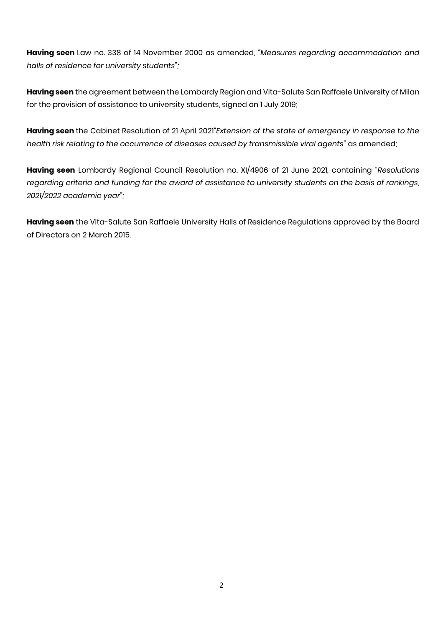**Having seen** Law no. 338 of 14 November 2000 as amended, *"Measures regarding accommodation and halls of residence for university students";*

**Having seen** the agreement between the Lombardy Region and Vita-Salute San Raffaele University of Milan for the provision of assistance to university students, signed on 1 July 2019;

**Having seen** the Cabinet Resolution of 21 April 2021*"Extension of the state of emergency in response to the health risk relating to the occurrence of diseases caused by transmissible viral agents"* as amended;

**Having seen** Lombardy Regional Council Resolution no. XI/4906 of 21 June 2021, containing *"Resolutions regarding criteria and funding for the award of assistance to university students on the basis of rankings, 2021/2022 academic year";*

**Having seen** the Vita-Salute San Raffaele University Halls of Residence Regulations approved by the Board of Directors on 2 March 2015.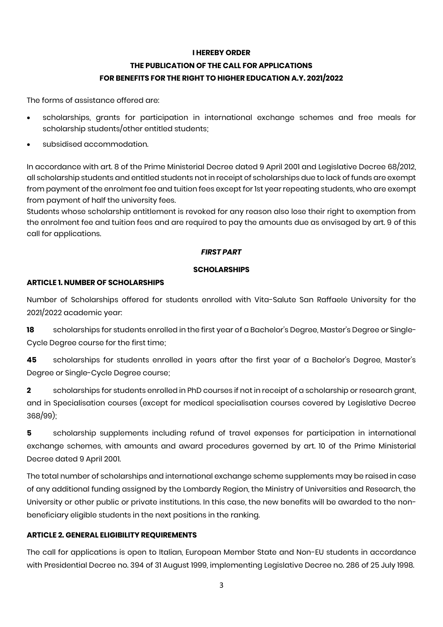# **I HEREBY ORDER THE PUBLICATION OF THE CALL FOR APPLICATIONS FOR BENEFITS FOR THE RIGHT TO HIGHER EDUCATION A.Y. 2021/2022**

The forms of assistance offered are:

- scholarships, grants for participation in international exchange schemes and free meals for scholarship students/other entitled students;
- subsidised accommodation.

In accordance with art. 8 of the Prime Ministerial Decree dated 9 April 2001 and Legislative Decree 68/2012, all scholarship students and entitled students not in receipt of scholarships due to lack of funds are exempt from payment of the enrolment fee and tuition fees except for 1st year repeating students, who are exempt from payment of half the university fees.

Students whose scholarship entitlement is revoked for any reason also lose their right to exemption from the enrolment fee and tuition fees and are required to pay the amounts due as envisaged by art. 9 of this call for applications.

### *FIRST PART*

#### **SCHOLARSHIPS**

### **ARTICLE 1. NUMBER OF SCHOLARSHIPS**

Number of Scholarships offered for students enrolled with Vita-Salute San Raffaele University for the 2021/2022 academic year:

**18** scholarships for students enrolled in the first year of a Bachelor's Degree, Master's Degree or Single-Cycle Degree course for the first time;

**45** scholarships for students enrolled in years after the first year of a Bachelor's Degree, Master's Degree or Single-Cycle Degree course;

**2** scholarships for students enrolled in PhD courses if not in receipt of a scholarship or research grant, and in Specialisation courses (except for medical specialisation courses covered by Legislative Decree 368/99);

**5** scholarship supplements including refund of travel expenses for participation in international exchange schemes, with amounts and award procedures governed by art. 10 of the Prime Ministerial Decree dated 9 April 2001.

The total number of scholarships and international exchange scheme supplements may be raised in case of any additional funding assigned by the Lombardy Region, the Ministry of Universities and Research, the University or other public or private institutions. In this case, the new benefits will be awarded to the nonbeneficiary eligible students in the next positions in the ranking.

## **ARTICLE 2. GENERAL ELIGIBILITY REQUIREMENTS**

The call for applications is open to Italian, European Member State and Non-EU students in accordance with Presidential Decree no. 394 of 31 August 1999, implementing Legislative Decree no. 286 of 25 July 1998.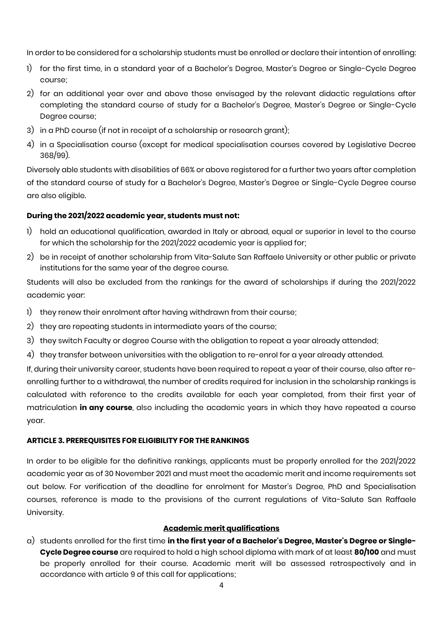In order to be considered for a scholarship students must be enrolled or declare their intention of enrolling:

- 1) for the first time, in a standard year of a Bachelor's Degree, Master's Degree or Single-Cycle Degree course;
- 2) for an additional year over and above those envisaged by the relevant didactic regulations after completing the standard course of study for a Bachelor's Degree, Master's Degree or Single-Cycle Degree course;
- 3) in a PhD course (if not in receipt of a scholarship or research grant);
- 4) in a Specialisation course (except for medical specialisation courses covered by Legislative Decree 368/99).

Diversely able students with disabilities of 66% or above registered for a further two years after completion of the standard course of study for a Bachelor's Degree, Master's Degree or Single-Cycle Degree course are also eligible.

## **During the 2021/2022 academic year, students must not:**

- 1) hold an educational qualification, awarded in Italy or abroad, equal or superior in level to the course for which the scholarship for the 2021/2022 academic year is applied for;
- 2) be in receipt of another scholarship from Vita-Salute San Raffaele University or other public or private institutions for the same year of the degree course.

Students will also be excluded from the rankings for the award of scholarships if during the 2021/2022 academic year:

- 1) they renew their enrolment after having withdrawn from their course;
- 2) they are repeating students in intermediate years of the course;
- 3) they switch Faculty or degree Course with the obligation to repeat a year already attended;
- 4) they transfer between universities with the obligation to re-enrol for a year already attended.

If, during their university career, students have been required to repeat a year of their course, also after reenrolling further to a withdrawal, the number of credits required for inclusion in the scholarship rankings is calculated with reference to the credits available for each year completed, from their first year of matriculation **in any course**, also including the academic years in which they have repeated a course year.

## **ARTICLE 3. PREREQUISITES FOR ELIGIBILITY FOR THE RANKINGS**

In order to be eligible for the definitive rankings, applicants must be properly enrolled for the 2021/2022 academic year as of 30 November 2021 and must meet the academic merit and income requirements set out below. For verification of the deadline for enrolment for Master's Degree, PhD and Specialisation courses, reference is made to the provisions of the current regulations of Vita-Salute San Raffaele University.

## **Academic merit qualifications**

a) students enrolled for the first time **in the first year of a Bachelor's Degree, Master's Degree or Single-Cycle Degree course** are required to hold a high school diploma with mark of at least **80/100** and must be properly enrolled for their course. Academic merit will be assessed retrospectively and in accordance with article 9 of this call for applications;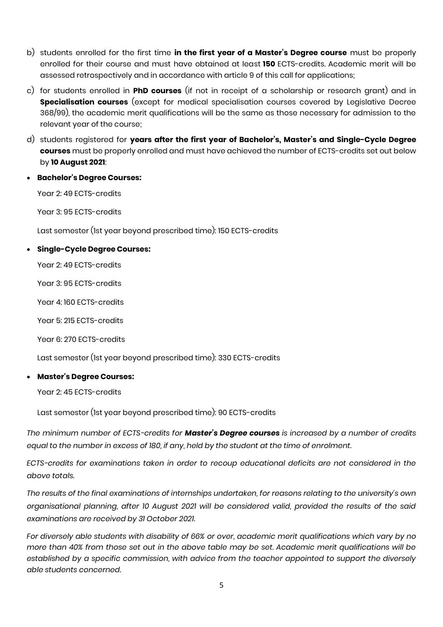- b) students enrolled for the first time **in the first year of a Master's Degree course** must be properly enrolled for their course and must have obtained at least **150** ECTS-credits. Academic merit will be assessed retrospectively and in accordance with article 9 of this call for applications;
- c) for students enrolled in **PhD courses** (if not in receipt of a scholarship or research grant) and in **Specialisation courses** (except for medical specialisation courses covered by Legislative Decree 368/99), the academic merit qualifications will be the same as those necessary for admission to the relevant year of the course;
- d) students registered for **years after the first year of Bachelor's, Master's and Single-Cycle Degree courses** must be properly enrolled and must have achieved the number of ECTS-credits set out below by **10 August 2021**:
- **Bachelor's Degree Courses:**

Year 2: 49 FCTS-credits

Year 3: 95 ECTS-credits

Last semester (1st year beyond prescribed time): 150 ECTS-credits

• **Single-Cycle Degree Courses:**

Year 2: 49 ECTS-credits

Year 3: 95 ECTS-credits

Year 4: 160 ECTS-credits

Year 5: 215 ECTS-credits

Year 6: 270 ECTS-credits

Last semester (1st year beyond prescribed time): 330 ECTS-credits

## • **Master's Degree Courses:**

Year 2: 45 ECTS-credits

Last semester (1st year beyond prescribed time): 90 ECTS-credits

*The minimum number of ECTS-credits for Master's Degree courses is increased by a number of credits equal to the number in excess of 180, if any, held by the student at the time of enrolment.*

*ECTS-credits for examinations taken in order to recoup educational deficits are not considered in the above totals.*

*The results of the final examinations of internships undertaken, for reasons relating to the university's own organisational planning, after 10 August 2021 will be considered valid, provided the results of the said examinations are received by 31 October 2021.* 

*For diversely able students with disability of 66% or over, academic merit qualifications which vary by no more than 40% from those set out in the above table may be set. Academic merit qualifications will be established by a specific commission, with advice from the teacher appointed to support the diversely able students concerned.*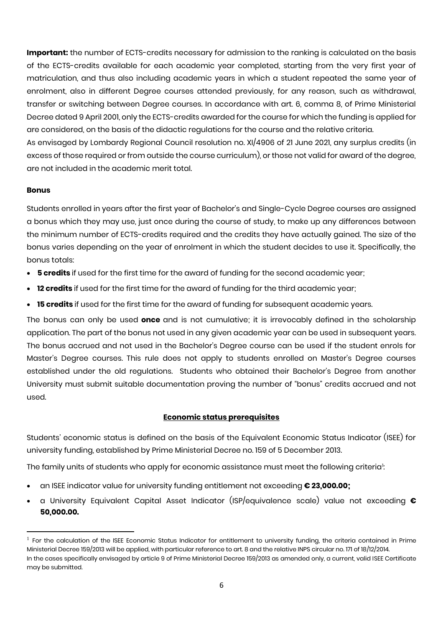**Important:** the number of ECTS-credits necessary for admission to the ranking is calculated on the basis of the ECTS-credits available for each academic year completed, starting from the very first year of matriculation, and thus also including academic years in which a student repeated the same year of enrolment, also in different Degree courses attended previously, for any reason, such as withdrawal, transfer or switching between Degree courses. In accordance with art. 6, comma 8, of Prime Ministerial Decree dated 9 April 2001, only the ECTS-credits awarded for the course for which the funding is applied for are considered, on the basis of the didactic regulations for the course and the relative criteria. As envisaged by Lombardy Regional Council resolution no. XI/4906 of 21 June 2021, any surplus credits (in excess of those required or from outside the course curriculum), or those not valid for award of the degree, are not included in the academic merit total.

### **Bonus**

 $\overline{\phantom{a}}$ 

Students enrolled in years after the first year of Bachelor's and Single-Cycle Degree courses are assigned a bonus which they may use, just once during the course of study, to make up any differences between the minimum number of ECTS-credits required and the credits they have actually gained. The size of the bonus varies depending on the year of enrolment in which the student decides to use it. Specifically, the bonus totals:

- **5 credits** if used for the first time for the award of funding for the second academic year;
- **12 credits** if used for the first time for the award of funding for the third academic year;
- **15 credits** if used for the first time for the award of funding for subsequent academic years.

The bonus can only be used **once** and is not cumulative; it is irrevocably defined in the scholarship application. The part of the bonus not used in any given academic year can be used in subsequent years. The bonus accrued and not used in the Bachelor's Degree course can be used if the student enrols for Master's Degree courses. This rule does not apply to students enrolled on Master's Degree courses established under the old regulations. Students who obtained their Bachelor's Degree from another University must submit suitable documentation proving the number of "bonus" credits accrued and not used.

## **Economic status prerequisites**

Students' economic status is defined on the basis of the Equivalent Economic Status Indicator (ISEE) for university funding, established by Prime Ministerial Decree no. 159 of 5 December 2013.

The family units of students who apply for economic assistance must meet the following criteria<sup>1</sup>: :

- an ISEE indicator value for university funding entitlement not exceeding **€ 23,000.00;**
- a University Equivalent Capital Asset Indicator (ISP/equivalence scale) value not exceeding **€ 50,000.00.**

 $^1$  For the calculation of the ISEE Economic Status Indicator for entitlement to university funding, the criteria contained in Prime Ministerial Decree 159/2013 will be applied, with particular reference to art. 8 and the relative INPS circular no. 171 of 18/12/2014. In the cases specifically envisaged by article 9 of Prime Ministerial Decree 159/2013 as amended only, a current, valid ISEE Certificate may be submitted.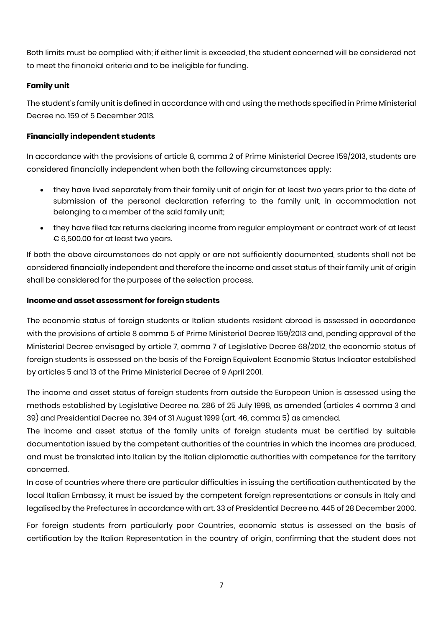Both limits must be complied with; if either limit is exceeded, the student concerned will be considered not to meet the financial criteria and to be ineligible for funding.

## **Family unit**

The student's family unit is defined in accordance with and using the methods specified in Prime Ministerial Decree no. 159 of 5 December 2013.

## **Financially independent students**

In accordance with the provisions of article 8, comma 2 of Prime Ministerial Decree 159/2013, students are considered financially independent when both the following circumstances apply:

- they have lived separately from their family unit of origin for at least two years prior to the date of submission of the personal declaration referring to the family unit, in accommodation not belonging to a member of the said family unit;
- they have filed tax returns declaring income from regular employment or contract work of at least € 6,500.00 for at least two years.

If both the above circumstances do not apply or are not sufficiently documented, students shall not be considered financially independent and therefore the income and asset status of their family unit of origin shall be considered for the purposes of the selection process.

## **Income and asset assessment for foreign students**

The economic status of foreign students or Italian students resident abroad is assessed in accordance with the provisions of article 8 comma 5 of Prime Ministerial Decree 159/2013 and, pending approval of the Ministerial Decree envisaged by article 7, comma 7 of Legislative Decree 68/2012, the economic status of foreign students is assessed on the basis of the Foreign Equivalent Economic Status Indicator established by articles 5 and 13 of the Prime Ministerial Decree of 9 April 2001.

The income and asset status of foreign students from outside the European Union is assessed using the methods established by Legislative Decree no. 286 of 25 July 1998, as amended (articles 4 comma 3 and 39) and Presidential Decree no. 394 of 31 August 1999 (art. 46, comma 5) as amended.

The income and asset status of the family units of foreign students must be certified by suitable documentation issued by the competent authorities of the countries in which the incomes are produced, and must be translated into Italian by the Italian diplomatic authorities with competence for the territory concerned.

In case of countries where there are particular difficulties in issuing the certification authenticated by the local Italian Embassy, it must be issued by the competent foreign representations or consuls in Italy and legalised by the Prefectures in accordance with art. 33 of Presidential Decree no. 445 of 28 December 2000.

For foreign students from particularly poor Countries, economic status is assessed on the basis of certification by the Italian Representation in the country of origin, confirming that the student does not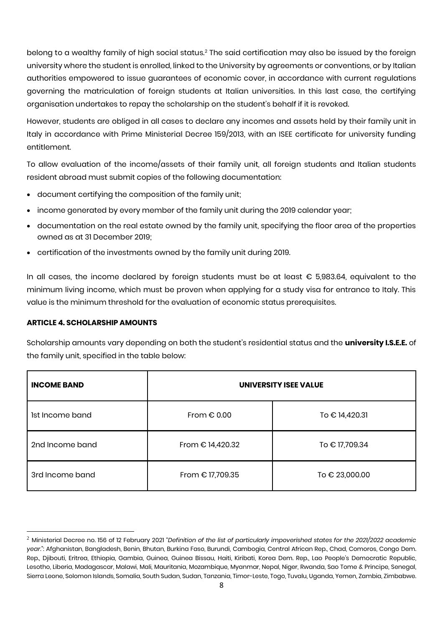belong to a wealthy family of high social status.<sup>2</sup> The said certification may also be issued by the foreign university where the student is enrolled, linked to the University by agreements or conventions, or by Italian authorities empowered to issue guarantees of economic cover, in accordance with current regulations governing the matriculation of foreign students at Italian universities. In this last case, the certifying organisation undertakes to repay the scholarship on the student's behalf if it is revoked.

However, students are obliged in all cases to declare any incomes and assets held by their family unit in Italy in accordance with Prime Ministerial Decree 159/2013, with an ISEE certificate for university funding entitlement.

To allow evaluation of the income/assets of their family unit, all foreign students and Italian students resident abroad must submit copies of the following documentation:

- document certifying the composition of the family unit;
- income generated by every member of the family unit during the 2019 calendar year;
- documentation on the real estate owned by the family unit, specifying the floor area of the properties owned as at 31 December 2019;
- certification of the investments owned by the family unit during 2019.

In all cases, the income declared by foreign students must be at least € 5,983.64, equivalent to the minimum living income, which must be proven when applying for a study visa for entrance to Italy. This value is the minimum threshold for the evaluation of economic status prerequisites.

## **ARTICLE 4. SCHOLARSHIP AMOUNTS**

 $\overline{a}$ 

Scholarship amounts vary depending on both the student's residential status and the **university I.S.E.E.** of the family unit, specified in the table below:

| <b>INCOME BAND</b> | UNIVERSITY ISEE VALUE |                |  |  |  |  |  |  |  |  |
|--------------------|-----------------------|----------------|--|--|--|--|--|--|--|--|
| Ist Income band    | From $\epsilon$ 0.00  | To € 14,420.31 |  |  |  |  |  |  |  |  |
| 2nd Income band    | From € 14,420.32      | To € 17,709.34 |  |  |  |  |  |  |  |  |
| 3rd Income band    | From € 17,709.35      | To € 23,000.00 |  |  |  |  |  |  |  |  |

<sup>2</sup> Ministerial Decree no. 156 of 12 February 2021 *"Definition of the list of particularly impoverished states for the 2021/2022 academic year.*": Afghanistan, Bangladesh, Benin, Bhutan, Burkina Faso, Burundi, Cambogia, Central African Rep., Chad, Comoros, Congo Dem. Rep., Djibouti, Eritrea, Ethiopia, Gambia, Guinea, Guinea Bissau, Haiti, Kiribati, Korea Dem. Rep., Lao People's Democratic Republic, Lesotho, Liberia, Madagascar, Malawi, Mali, Mauritania, Mozambique, Myanmar, Nepal, Niger, Rwanda, Sao Tome & Principe, Senegal, Sierra Leone, Solomon Islands, Somalia, South Sudan, Sudan, Tanzania, Timor-Leste, Togo, Tuvalu, Uganda, Yemen, Zambia, Zimbabwe.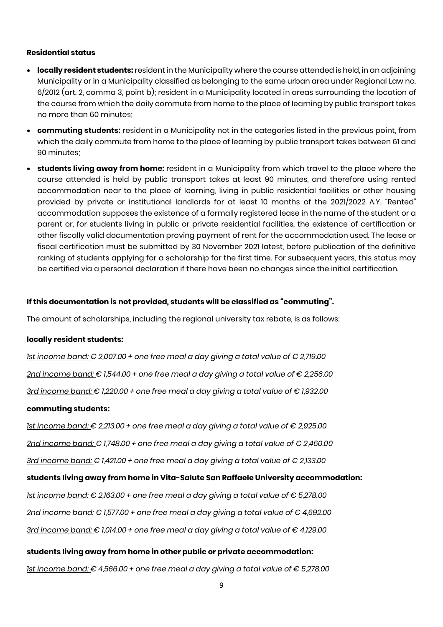#### **Residential status**

- **locally resident students:** resident in the Municipality where the course attended is held, in an adjoining Municipality or in a Municipality classified as belonging to the same urban area under Regional Law no. 6/2012 (art. 2, comma 3, point b); resident in a Municipality located in areas surrounding the location of the course from which the daily commute from home to the place of learning by public transport takes no more than 60 minutes;
- **commuting students:** resident in a Municipality not in the categories listed in the previous point, from which the daily commute from home to the place of learning by public transport takes between 61 and 90 minutes;
- **students living away from home:** resident in a Municipality from which travel to the place where the course attended is held by public transport takes at least 90 minutes, and therefore using rented accommodation near to the place of learning, living in public residential facilities or other housing provided by private or institutional landlords for at least 10 months of the 2021/2022 A.Y. "Rented" accommodation supposes the existence of a formally registered lease in the name of the student or a parent or, for students living in public or private residential facilities, the existence of certification or other fiscally valid documentation proving payment of rent for the accommodation used. The lease or fiscal certification must be submitted by 30 November 2021 latest, before publication of the definitive ranking of students applying for a scholarship for the first time. For subsequent years, this status may be certified via a personal declaration if there have been no changes since the initial certification.

### **If this documentation is not provided, students will be classified as "commuting".**

The amount of scholarships, including the regional university tax rebate, is as follows:

#### **locally resident students:**

*1st income band: € 2,007.00 + one free meal a day giving a total value of € 2,719.00*

*2nd income band: € 1,544.00 + one free meal a day giving a total value of € 2,256.00*

*3rd income band: € 1,220.00 + one free meal a day giving a total value of € 1,932.00*

#### **commuting students:**

*1st income band: € 2,213.00 + one free meal a day giving a total value of € 2,925.00* 

*2nd income band: € 1,748.00 + one free meal a day giving a total value of € 2,460.00*

*3rd income band: € 1,421.00 + one free meal a day giving a total value of € 2,133.00* 

## **students living away from home in Vita-Salute San Raffaele University accommodation:**

*1st income band: € 2,163.00 + one free meal a day giving a total value of € 5,278.00*

*2nd income band: € 1,577.00 + one free meal a day giving a total value of € 4,692.00* 

*3rd income band: € 1,014.00 + one free meal a day giving a total value of € 4,129.00* 

#### **students living away from home in other public or private accommodation:**

*1st income band: € 4,566.00 + one free meal a day giving a total value of € 5,278.00*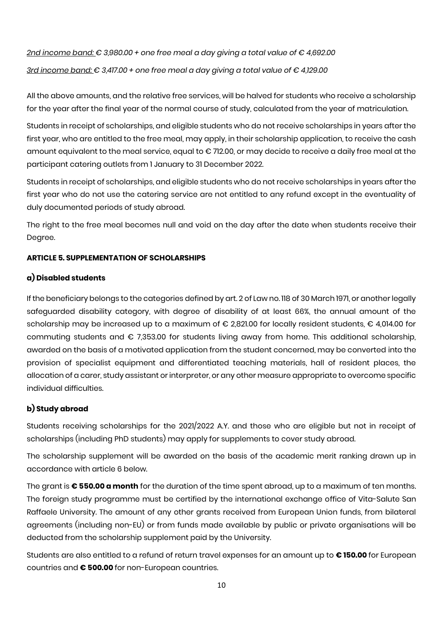*2nd income band: € 3,980.00 + one free meal a day giving a total value of € 4,692.00 3rd income band: € 3,417.00 + one free meal a day giving a total value of € 4,129.00* 

All the above amounts, and the relative free services, will be halved for students who receive a scholarship for the year after the final year of the normal course of study, calculated from the year of matriculation.

Students in receipt of scholarships, and eligible students who do not receive scholarships in years after the first year, who are entitled to the free meal, may apply, in their scholarship application, to receive the cash amount equivalent to the meal service, equal to € 712.00, or may decide to receive a daily free meal at the participant catering outlets from 1 January to 31 December 2022.

Students in receipt of scholarships, and eligible students who do not receive scholarships in years after the first year who do not use the catering service are not entitled to any refund except in the eventuality of duly documented periods of study abroad.

The right to the free meal becomes null and void on the day after the date when students receive their Degree.

## **ARTICLE 5. SUPPLEMENTATION OF SCHOLARSHIPS**

## **a) Disabled students**

If the beneficiary belongs to the categories defined by art. 2 of Law no. 118 of 30 March 1971, or another legally safeguarded disability category, with degree of disability of at least 66%, the annual amount of the scholarship may be increased up to a maximum of € 2,821.00 for locally resident students, € 4,014.00 for commuting students and € 7,353.00 for students living away from home. This additional scholarship, awarded on the basis of a motivated application from the student concerned, may be converted into the provision of specialist equipment and differentiated teaching materials, hall of resident places, the allocation of a carer, study assistant or interpreter, or any other measure appropriate to overcome specific individual difficulties.

## **b) Study abroad**

Students receiving scholarships for the 2021/2022 A.Y. and those who are eligible but not in receipt of scholarships (including PhD students) may apply for supplements to cover study abroad.

The scholarship supplement will be awarded on the basis of the academic merit ranking drawn up in accordance with article 6 below.

The grant is **€ 550.00 a month** for the duration of the time spent abroad, up to a maximum of ten months. The foreign study programme must be certified by the international exchange office of Vita-Salute San Raffaele University. The amount of any other grants received from European Union funds, from bilateral agreements (including non-EU) or from funds made available by public or private organisations will be deducted from the scholarship supplement paid by the University.

Students are also entitled to a refund of return travel expenses for an amount up to **€ 150.00** for European countries and **€ 500.00** for non-European countries.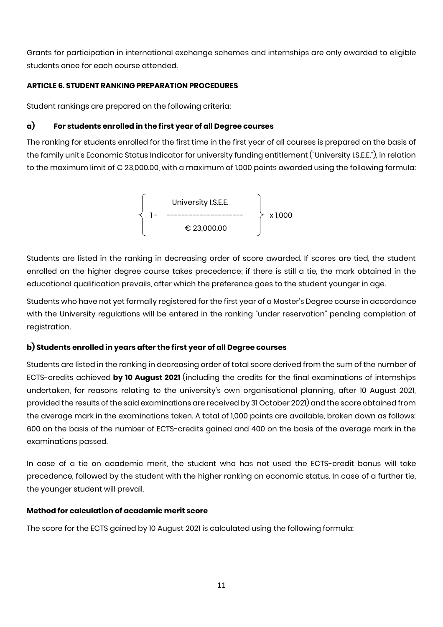Grants for participation in international exchange schemes and internships are only awarded to eligible students once for each course attended.

## **ARTICLE 6. STUDENT RANKING PREPARATION PROCEDURES**

Student rankings are prepared on the following criteria:

## **a) For students enrolled in the first year of all Degree courses**

The ranking for students enrolled for the first time in the first year of all courses is prepared on the basis of the family unit's Economic Status Indicator for university funding entitlement ("University I.S.E.E."), in relation to the maximum limit of € 23,000.00, with a maximum of 1.000 points awarded using the following formula:



Students are listed in the ranking in decreasing order of score awarded. If scores are tied, the student enrolled on the higher degree course takes precedence; if there is still a tie, the mark obtained in the educational qualification prevails, after which the preference goes to the student younger in age.

Students who have not yet formally registered for the first year of a Master's Degree course in accordance with the University regulations will be entered in the ranking "under reservation" pending completion of registration.

## **b) Students enrolled in years after the first year of all Degree courses**

Students are listed in the ranking in decreasing order of total score derived from the sum of the number of ECTS-credits achieved **by 10 August 2021** (including the credits for the final examinations of internships undertaken, for reasons relating to the university's own organisational planning, after 10 August 2021, provided the results of the said examinations are received by 31 October 2021) and the score obtained from the average mark in the examinations taken. A total of 1,000 points are available, broken down as follows: 600 on the basis of the number of ECTS-credits gained and 400 on the basis of the average mark in the examinations passed.

In case of a tie on academic merit, the student who has not used the ECTS-credit bonus will take precedence, followed by the student with the higher ranking on economic status. In case of a further tie, the younger student will prevail.

## **Method for calculation of academic merit score**

The score for the ECTS gained by 10 August 2021 is calculated using the following formula: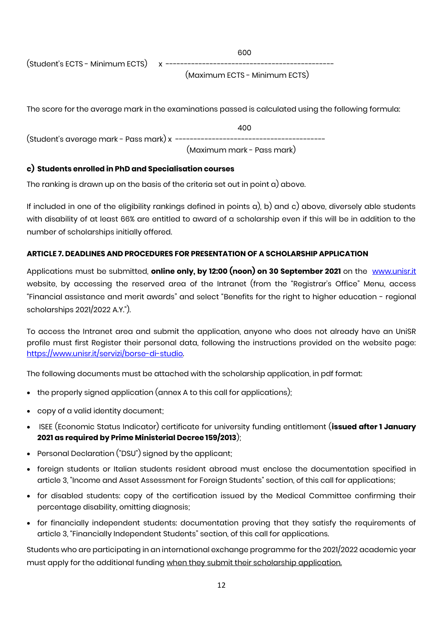e de la construcción de la construcción de la construcción de la construcción de la construcción de la constru

 $(Student's ECTS - Minimum ECTS)$  x ----

(Maximum ECTS - Minimum ECTS)

The score for the average mark in the examinations passed is calculated using the following formula:

400 (Student's average mark - Pass mark) x ----------------------------------------- (Maximum mark - Pass mark)

## **c) Students enrolled in PhD and Specialisation courses**

The ranking is drawn up on the basis of the criteria set out in point a) above.

If included in one of the eligibility rankings defined in points a), b) and c) above, diversely able students with disability of at least 66% are entitled to award of a scholarship even if this will be in addition to the number of scholarships initially offered.

## **ARTICLE 7. DEADLINES AND PROCEDURES FOR PRESENTATION OF A SCHOLARSHIP APPLICATION**

Applications must be submitted, **online only, by 12:00 (noon) on 30 September 2021** on the [www.unisr.it](http://www.unisr.it/) website, by accessing the reserved area of the Intranet (from the "Registrar's Office" Menu, access "Financial assistance and merit awards" and select "Benefits for the right to higher education - regional scholarships 2021/2022 A.Y.").

To access the Intranet area and submit the application, anyone who does not already have an UniSR profile must first Register their personal data, following the instructions provided on the website page: [https://www.unisr.it/servizi/borse-di-studio.](https://www.unisr.it/servizi/borse-di-studio)

The following documents must be attached with the scholarship application, in pdf format:

- the properly signed application (annex A to this call for applications);
- copy of a valid identity document;
- ISEE (Economic Status Indicator) certificate for university funding entitlement (**issued after 1 January 2021 as required by Prime Ministerial Decree 159/2013**);
- Personal Declaration ("DSU") signed by the applicant;
- foreign students or Italian students resident abroad must enclose the documentation specified in article 3, "Income and Asset Assessment for Foreign Students" section, of this call for applications;
- for disabled students: copy of the certification issued by the Medical Committee confirming their percentage disability, omitting diagnosis;
- for financially independent students: documentation proving that they satisfy the requirements of article 3, "Financially Independent Students" section, of this call for applications.

Students who are participating in an international exchange programme for the 2021/2022 academic year must apply for the additional funding when they submit their scholarship application.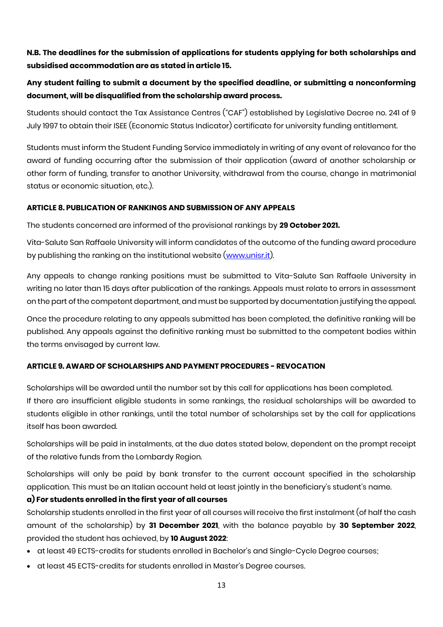# **N.B. The deadlines for the submission of applications for students applying for both scholarships and subsidised accommodation are as stated in article 15.**

# **Any student failing to submit a document by the specified deadline, or submitting a nonconforming document, will be disqualified from the scholarship award process.**

Students should contact the Tax Assistance Centres ("CAF") established by Legislative Decree no. 241 of 9 July 1997 to obtain their ISEE (Economic Status Indicator) certificate for university funding entitlement.

Students must inform the Student Funding Service immediately in writing of any event of relevance for the award of funding occurring after the submission of their application (award of another scholarship or other form of funding, transfer to another University, withdrawal from the course, change in matrimonial status or economic situation, etc.).

## **ARTICLE 8. PUBLICATION OF RANKINGS AND SUBMISSION OF ANY APPEALS**

The students concerned are informed of the provisional rankings by **29 October 2021.** 

Vita-Salute San Raffaele University will inform candidates of the outcome of the funding award procedure by publishing the ranking on the institutional website [\(www.unisr.it\)](http://www.unisr.it/).

Any appeals to change ranking positions must be submitted to Vita-Salute San Raffaele University in writing no later than 15 days after publication of the rankings. Appeals must relate to errors in assessment on the part of the competent department, and must be supported by documentation justifying the appeal.

Once the procedure relating to any appeals submitted has been completed, the definitive ranking will be published. Any appeals against the definitive ranking must be submitted to the competent bodies within the terms envisaged by current law.

## **ARTICLE 9. AWARD OF SCHOLARSHIPS AND PAYMENT PROCEDURES - REVOCATION**

Scholarships will be awarded until the number set by this call for applications has been completed. If there are insufficient eligible students in some rankings, the residual scholarships will be awarded to students eligible in other rankings, until the total number of scholarships set by the call for applications itself has been awarded.

Scholarships will be paid in instalments, at the due dates stated below, dependent on the prompt receipt of the relative funds from the Lombardy Region.

Scholarships will only be paid by bank transfer to the current account specified in the scholarship application. This must be an Italian account held at least jointly in the beneficiary's student's name.

## **a) For students enrolled in the first year of all courses**

Scholarship students enrolled in the first year of all courses will receive the first instalment (of half the cash amount of the scholarship) by **31 December 2021**, with the balance payable by **30 September 2022**, provided the student has achieved, by **10 August 2022**:

- at least 49 ECTS-credits for students enrolled in Bachelor's and Single-Cycle Degree courses;
- at least 45 ECTS-credits for students enrolled in Master's Degree courses.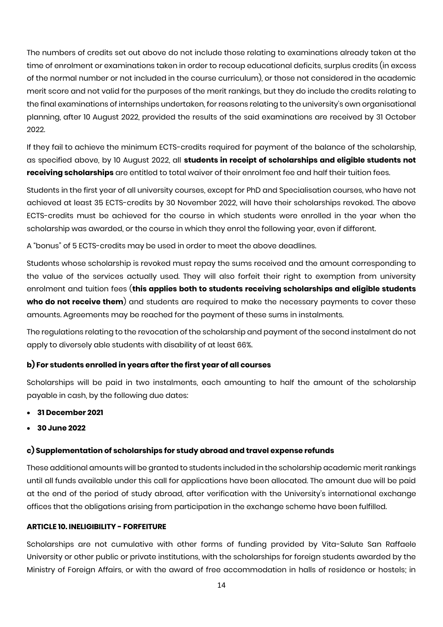The numbers of credits set out above do not include those relating to examinations already taken at the time of enrolment or examinations taken in order to recoup educational deficits, surplus credits (in excess of the normal number or not included in the course curriculum), or those not considered in the academic merit score and not valid for the purposes of the merit rankings, but they do include the credits relating to the final examinations of internships undertaken, for reasons relating to the university's own organisational planning, after 10 August 2022, provided the results of the said examinations are received by 31 October 2022.

If they fail to achieve the minimum ECTS-credits required for payment of the balance of the scholarship, as specified above, by 10 August 2022, all **students in receipt of scholarships and eligible students not receiving scholarships** are entitled to total waiver of their enrolment fee and half their tuition fees.

Students in the first year of all university courses, except for PhD and Specialisation courses, who have not achieved at least 35 ECTS-credits by 30 November 2022, will have their scholarships revoked. The above ECTS-credits must be achieved for the course in which students were enrolled in the year when the scholarship was awarded, or the course in which they enrol the following year, even if different.

A "bonus" of 5 ECTS-credits may be used in order to meet the above deadlines.

Students whose scholarship is revoked must repay the sums received and the amount corresponding to the value of the services actually used. They will also forfeit their right to exemption from university enrolment and tuition fees (**this applies both to students receiving scholarships and eligible students**  who do not receive them) and students are required to make the necessary payments to cover these amounts. Agreements may be reached for the payment of these sums in instalments.

The regulations relating to the revocation of the scholarship and payment of the second instalment do not apply to diversely able students with disability of at least 66%.

## **b) For students enrolled in years after the first year of all courses**

Scholarships will be paid in two instalments, each amounting to half the amount of the scholarship payable in cash, by the following due dates:

- **31 December 2021**
- **30 June 2022**

## **c) Supplementation of scholarships for study abroad and travel expense refunds**

These additional amounts will be granted to students included in the scholarship academic merit rankings until all funds available under this call for applications have been allocated. The amount due will be paid at the end of the period of study abroad, after verification with the University's international exchange offices that the obligations arising from participation in the exchange scheme have been fulfilled.

## **ARTICLE 10. INELIGIBILITY - FORFEITURE**

Scholarships are not cumulative with other forms of funding provided by Vita-Salute San Raffaele University or other public or private institutions, with the scholarships for foreign students awarded by the Ministry of Foreign Affairs, or with the award of free accommodation in halls of residence or hostels; in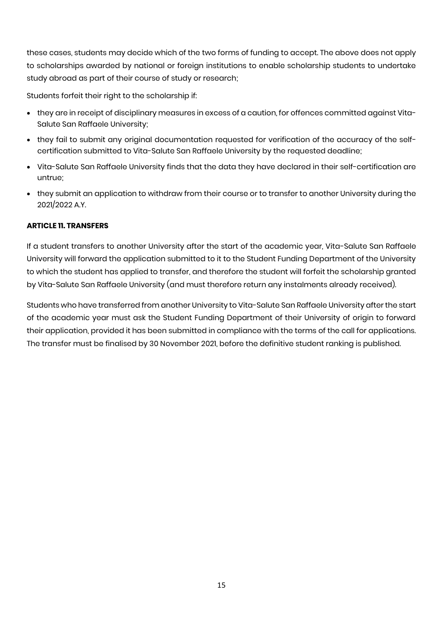these cases, students may decide which of the two forms of funding to accept. The above does not apply to scholarships awarded by national or foreign institutions to enable scholarship students to undertake study abroad as part of their course of study or research;

Students forfeit their right to the scholarship if:

- they are in receipt of disciplinary measures in excess of a caution, for offences committed against Vita-Salute San Raffaele University;
- they fail to submit any original documentation requested for verification of the accuracy of the selfcertification submitted to Vita-Salute San Raffaele University by the requested deadline;
- Vita-Salute San Raffaele University finds that the data they have declared in their self-certification are untrue;
- they submit an application to withdraw from their course or to transfer to another University during the 2021/2022 A.Y.

## **ARTICLE 11. TRANSFERS**

If a student transfers to another University after the start of the academic year, Vita-Salute San Raffaele University will forward the application submitted to it to the Student Funding Department of the University to which the student has applied to transfer, and therefore the student will forfeit the scholarship granted by Vita-Salute San Raffaele University (and must therefore return any instalments already received).

Students who have transferred from another University to Vita-Salute San Raffaele University after the start of the academic year must ask the Student Funding Department of their University of origin to forward their application, provided it has been submitted in compliance with the terms of the call for applications. The transfer must be finalised by 30 November 2021, before the definitive student ranking is published.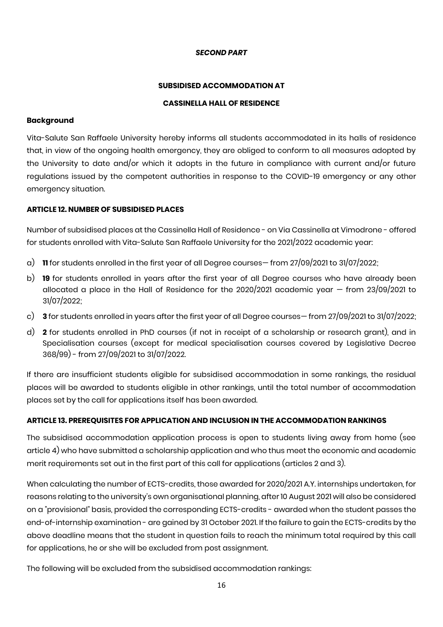#### *SECOND PART*

#### **SUBSIDISED ACCOMMODATION AT**

#### **CASSINELLA HALL OF RESIDENCE**

#### **Background**

Vita-Salute San Raffaele University hereby informs all students accommodated in its halls of residence that, in view of the ongoing health emergency, they are obliged to conform to all measures adopted by the University to date and/or which it adopts in the future in compliance with current and/or future regulations issued by the competent authorities in response to the COVID-19 emergency or any other emergency situation.

### **ARTICLE 12. NUMBER OF SUBSIDISED PLACES**

Number of subsidised places at the Cassinella Hall of Residence - on Via Cassinella at Vimodrone - offered for students enrolled with Vita-Salute San Raffaele University for the 2021/2022 academic year:

- a) **11** for students enrolled in the first year of all Degree courses— from 27/09/2021 to 31/07/2022;
- b) **19** for students enrolled in years after the first year of all Degree courses who have already been allocated a place in the Hall of Residence for the 2020/2021 academic year — from 23/09/2021 to 31/07/2022;
- c) **3** for students enrolled in years after the first year of all Degree courses— from 27/09/2021 to 31/07/2022;
- d) **2** for students enrolled in PhD courses (if not in receipt of a scholarship or research grant), and in Specialisation courses (except for medical specialisation courses covered by Legislative Decree 368/99) - from 27/09/2021 to 31/07/2022.

If there are insufficient students eligible for subsidised accommodation in some rankings, the residual places will be awarded to students eligible in other rankings, until the total number of accommodation places set by the call for applications itself has been awarded.

#### **ARTICLE 13. PREREQUISITES FOR APPLICATION AND INCLUSION IN THE ACCOMMODATION RANKINGS**

The subsidised accommodation application process is open to students living away from home (see article 4) who have submitted a scholarship application and who thus meet the economic and academic merit requirements set out in the first part of this call for applications (articles 2 and 3).

When calculating the number of ECTS-credits, those awarded for 2020/2021 A.Y. internships undertaken, for reasons relating to the university's own organisational planning, after 10 August 2021 will also be considered on a "provisional" basis, provided the corresponding ECTS-credits - awarded when the student passes the end-of-internship examination - are gained by 31 October 2021. If the failure to gain the ECTS-credits by the above deadline means that the student in question fails to reach the minimum total required by this call for applications, he or she will be excluded from post assignment.

The following will be excluded from the subsidised accommodation rankings: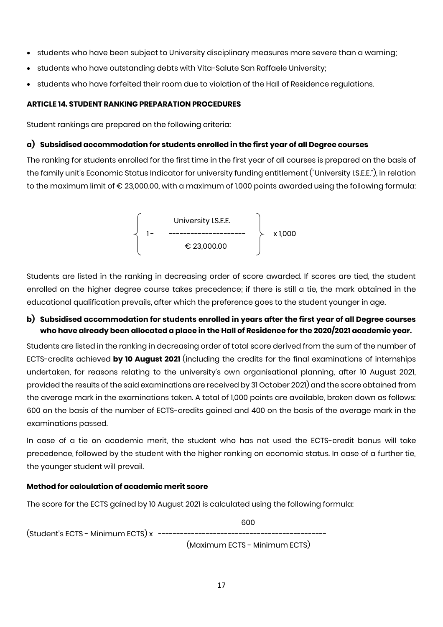- students who have been subject to University disciplinary measures more severe than a warning;
- students who have outstanding debts with Vita-Salute San Raffaele University;
- students who have forfeited their room due to violation of the Hall of Residence regulations.

## **ARTICLE 14. STUDENT RANKING PREPARATION PROCEDURES**

Student rankings are prepared on the following criteria:

## **a) Subsidised accommodation for students enrolled in the first year of all Degree courses**

The ranking for students enrolled for the first time in the first year of all courses is prepared on the basis of the family unit's Economic Status Indicator for university funding entitlement ("University I.S.E.E."), in relation to the maximum limit of € 23,000.00, with a maximum of 1.000 points awarded using the following formula:

$$
\left\{\n \begin{array}{ccc}\n & \text{University I.S.E.E.} \\
1 - & \text{-----} & \text{-----}\n \end{array}\n\right\}\n \quad \times 1,000
$$
\n
$$
€ 23,000.00
$$

Students are listed in the ranking in decreasing order of score awarded. If scores are tied, the student enrolled on the higher degree course takes precedence; if there is still a tie, the mark obtained in the educational qualification prevails, after which the preference goes to the student younger in age.

## **b) Subsidised accommodation for students enrolled in years after the first year of all Degree courses who have already been allocated a place in the Hall of Residence for the 2020/2021 academic year.**

Students are listed in the ranking in decreasing order of total score derived from the sum of the number of ECTS-credits achieved **by 10 August 2021** (including the credits for the final examinations of internships undertaken, for reasons relating to the university's own organisational planning, after 10 August 2021, provided the results of the said examinations are received by 31 October 2021) and the score obtained from the average mark in the examinations taken. A total of 1,000 points are available, broken down as follows: 600 on the basis of the number of ECTS-credits gained and 400 on the basis of the average mark in the examinations passed.

In case of a tie on academic merit, the student who has not used the ECTS-credit bonus will take precedence, followed by the student with the higher ranking on economic status. In case of a further tie, the younger student will prevail.

## **Method for calculation of academic merit score**

The score for the ECTS gained by 10 August 2021 is calculated using the following formula:

 600 (Student's ECTS - Minimum ECTS) x ----------------------------------------------

(Maximum ECTS - Minimum ECTS)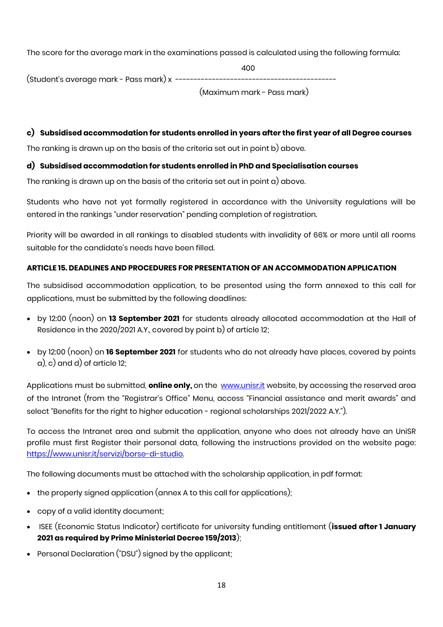The score for the average mark in the examinations passed is calculated using the following formula:

 400 (Student's average mark - Pass mark) x -------------------------------------------- (Maximum mark - Pass mark)

**c) Subsidised accommodation for students enrolled in years after the first year of all Degree courses**

The ranking is drawn up on the basis of the criteria set out in point b) above.

## **d) Subsidised accommodation for students enrolled in PhD and Specialisation courses**

The ranking is drawn up on the basis of the criteria set out in point a) above.

Students who have not yet formally registered in accordance with the University regulations will be entered in the rankings "under reservation" pending completion of registration.

Priority will be awarded in all rankings to disabled students with invalidity of 66% or more until all rooms suitable for the candidate's needs have been filled.

## **ARTICLE 15. DEADLINES AND PROCEDURES FOR PRESENTATION OF AN ACCOMMODATION APPLICATION**

The subsidised accommodation application, to be presented using the form annexed to this call for applications, must be submitted by the following deadlines:

- by 12:00 (noon) on **13 September 2021** for students already allocated accommodation at the Hall of Residence in the 2020/2021 A.Y., covered by point b) of article 12;
- by 12:00 (noon) on **16 September 2021** for students who do not already have places, covered by points a), c) and d) of article 12;

Applications must be submitted, **online only,** on the [www.unisr.it](http://www.unisr.it/) website, by accessing the reserved area of the Intranet (from the "Registrar's Office" Menu, access "Financial assistance and merit awards" and select "Benefits for the right to higher education - regional scholarships 2021/2022 A.Y.").

To access the Intranet area and submit the application, anyone who does not already have an UniSR profile must first Register their personal data, following the instructions provided on the website page: [https://www.unisr.it/servizi/borse-di-studio.](https://www.unisr.it/servizi/borse-di-studio)

The following documents must be attached with the scholarship application, in pdf format:

- the properly signed application (annex A to this call for applications);
- copy of a valid identity document;
- ISEE (Economic Status Indicator) certificate for university funding entitlement (**issued after 1 January 2021 as required by Prime Ministerial Decree 159/2013**);
- Personal Declaration ("DSU") signed by the applicant;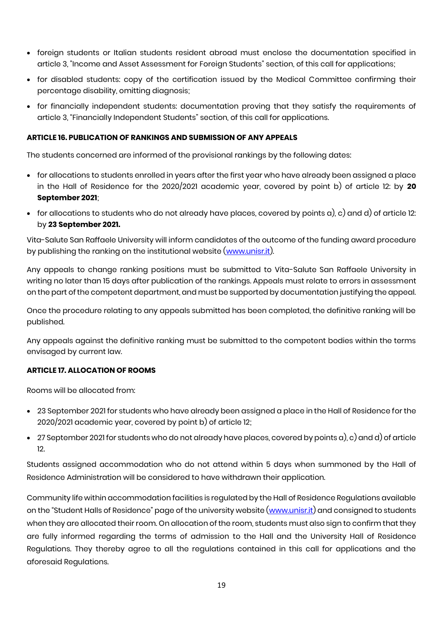- foreign students or Italian students resident abroad must enclose the documentation specified in article 3, "Income and Asset Assessment for Foreign Students" section, of this call for applications;
- for disabled students: copy of the certification issued by the Medical Committee confirming their percentage disability, omitting diagnosis;
- for financially independent students: documentation proving that they satisfy the requirements of article 3, "Financially Independent Students" section, of this call for applications.

### **ARTICLE 16. PUBLICATION OF RANKINGS AND SUBMISSION OF ANY APPEALS**

The students concerned are informed of the provisional rankings by the following dates:

- for allocations to students enrolled in years after the first year who have already been assigned a place in the Hall of Residence for the 2020/2021 academic year, covered by point b) of article 12: by **20 September 2021**;
- for allocations to students who do not already have places, covered by points a), c) and d) of article 12: by **23 September 2021.**

Vita-Salute San Raffaele University will inform candidates of the outcome of the funding award procedure by publishing the ranking on the institutional website [\(www.unisr.it\)](http://www.unisr.it/).

Any appeals to change ranking positions must be submitted to Vita-Salute San Raffaele University in writing no later than 15 days after publication of the rankings. Appeals must relate to errors in assessment on the part of the competent department, and must be supported by documentation justifying the appeal.

Once the procedure relating to any appeals submitted has been completed, the definitive ranking will be published.

Any appeals against the definitive ranking must be submitted to the competent bodies within the terms envisaged by current law.

#### **ARTICLE 17. ALLOCATION OF ROOMS**

Rooms will be allocated from:

- 23 September 2021 for students who have already been assigned a place in the Hall of Residence for the 2020/2021 academic year, covered by point b) of article 12;
- 27 September 2021 for students who do not already have places, covered by points a), c) and d) of article 12.

Students assigned accommodation who do not attend within 5 days when summoned by the Hall of Residence Administration will be considered to have withdrawn their application.

Community life within accommodation facilities is regulated by the Hall of Residence Regulations available on the "Student Halls of Residence" page of the university website [\(www.unisr.it\)](http://www.unisr.it/) and consigned to students when they are allocated their room. On allocation of the room, students must also sign to confirm that they are fully informed regarding the terms of admission to the Hall and the University Hall of Residence Regulations. They thereby agree to all the regulations contained in this call for applications and the aforesaid Regulations.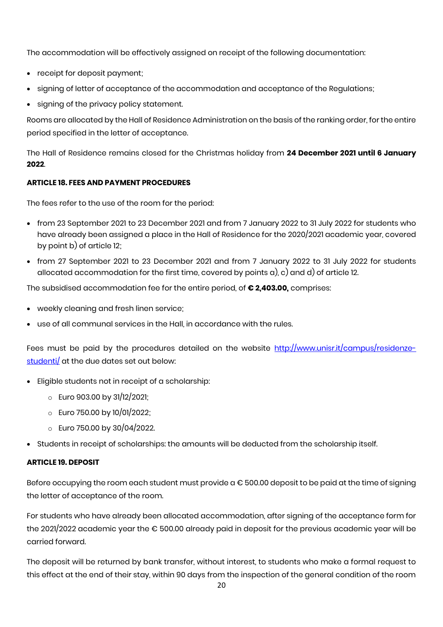The accommodation will be effectively assigned on receipt of the following documentation:

- receipt for deposit payment;
- signing of letter of acceptance of the accommodation and acceptance of the Regulations;
- signing of the privacy policy statement.

Rooms are allocated by the Hall of Residence Administration on the basis of the ranking order, for the entire period specified in the letter of acceptance.

The Hall of Residence remains closed for the Christmas holiday from **24 December 2021 until 6 January 2022**.

## **ARTICLE 18. FEES AND PAYMENT PROCEDURES**

The fees refer to the use of the room for the period:

- from 23 September 2021 to 23 December 2021 and from 7 January 2022 to 31 July 2022 for students who have already been assigned a place in the Hall of Residence for the 2020/2021 academic year, covered by point b) of article 12;
- from 27 September 2021 to 23 December 2021 and from 7 January 2022 to 31 July 2022 for students allocated accommodation for the first time, covered by points a), c) and d) of article 12.

The subsidised accommodation fee for the entire period, of **€ 2,403.00,** comprises:

- weekly cleaning and fresh linen service;
- use of all communal services in the Hall, in accordance with the rules.

Fees must be paid by the procedures detailed on the website [http://www.unisr.it/campus/residenze](http://www.unisr.it/campus/residenze-studenti/)[studenti/](http://www.unisr.it/campus/residenze-studenti/) at the due dates set out below:

- Eligible students not in receipt of a scholarship:
	- $\circ$  Euro 903.00 by 31/12/2021;
	- o Euro 750.00 by 10/01/2022;
	- $\circ$  Euro 750.00 by 30/04/2022.
- Students in receipt of scholarships: the amounts will be deducted from the scholarship itself.

#### **ARTICLE 19. DEPOSIT**

Before occupying the room each student must provide  $a \in 500.00$  deposit to be paid at the time of signing the letter of acceptance of the room.

For students who have already been allocated accommodation, after signing of the acceptance form for the 2021/2022 academic year the € 500.00 already paid in deposit for the previous academic year will be carried forward.

The deposit will be returned by bank transfer, without interest, to students who make a formal request to this effect at the end of their stay, within 90 days from the inspection of the general condition of the room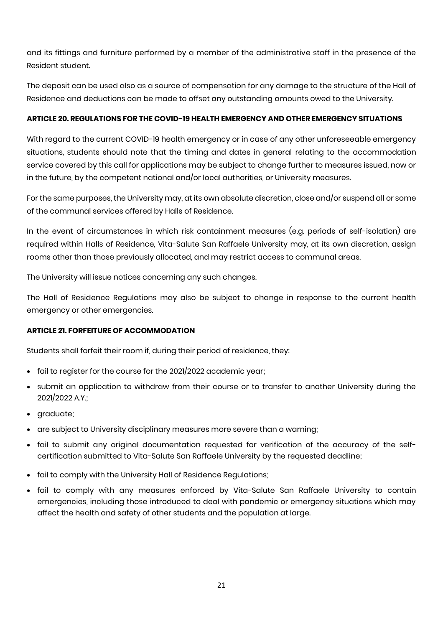and its fittings and furniture performed by a member of the administrative staff in the presence of the Resident student.

The deposit can be used also as a source of compensation for any damage to the structure of the Hall of Residence and deductions can be made to offset any outstanding amounts owed to the University.

## **ARTICLE 20. REGULATIONS FOR THE COVID-19 HEALTH EMERGENCY AND OTHER EMERGENCY SITUATIONS**

With regard to the current COVID-19 health emergency or in case of any other unforeseeable emergency situations, students should note that the timing and dates in general relating to the accommodation service covered by this call for applications may be subject to change further to measures issued, now or in the future, by the competent national and/or local authorities, or University measures.

For the same purposes, the University may, at its own absolute discretion, close and/or suspend all or some of the communal services offered by Halls of Residence.

In the event of circumstances in which risk containment measures (e.g. periods of self-isolation) are required within Halls of Residence, Vita-Salute San Raffaele University may, at its own discretion, assign rooms other than those previously allocated, and may restrict access to communal areas.

The University will issue notices concerning any such changes.

The Hall of Residence Regulations may also be subject to change in response to the current health emergency or other emergencies.

## **ARTICLE 21. FORFEITURE OF ACCOMMODATION**

Students shall forfeit their room if, during their period of residence, they:

- fail to register for the course for the 2021/2022 academic year;
- submit an application to withdraw from their course or to transfer to another University during the 2021/2022 A.Y.;
- graduate;
- are subject to University disciplinary measures more severe than a warning;
- fail to submit any original documentation requested for verification of the accuracy of the selfcertification submitted to Vita-Salute San Raffaele University by the requested deadline;
- fail to comply with the University Hall of Residence Regulations;
- fail to comply with any measures enforced by Vita-Salute San Raffaele University to contain emergencies, including those introduced to deal with pandemic or emergency situations which may affect the health and safety of other students and the population at large.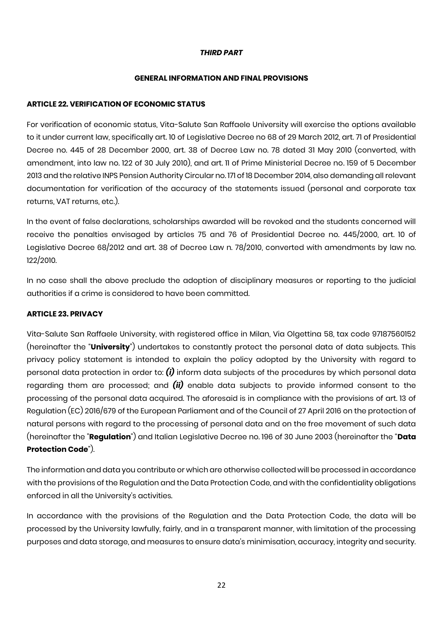### *THIRD PART*

### **GENERAL INFORMATION AND FINAL PROVISIONS**

### **ARTICLE 22. VERIFICATION OF ECONOMIC STATUS**

For verification of economic status, Vita-Salute San Raffaele University will exercise the options available to it under current law, specifically art. 10 of Legislative Decree no 68 of 29 March 2012, art. 71 of Presidential Decree no. 445 of 28 December 2000, art. 38 of Decree Law no. 78 dated 31 May 2010 (converted, with amendment, into law no. 122 of 30 July 2010), and art. 11 of Prime Ministerial Decree no. 159 of 5 December 2013 and the relative INPS Pension Authority Circular no. 171 of 18 December 2014, also demanding all relevant documentation for verification of the accuracy of the statements issued (personal and corporate tax returns, VAT returns, etc.).

In the event of false declarations, scholarships awarded will be revoked and the students concerned will receive the penalties envisaged by articles 75 and 76 of Presidential Decree no. 445/2000, art. 10 of Legislative Decree 68/2012 and art. 38 of Decree Law n. 78/2010, converted with amendments by law no. 122/2010.

In no case shall the above preclude the adoption of disciplinary measures or reporting to the judicial authorities if a crime is considered to have been committed.

## **ARTICLE 23. PRIVACY**

Vita-Salute San Raffaele University, with registered office in Milan, Via Olgettina 58, tax code 97187560152 (hereinafter the "**University**") undertakes to constantly protect the personal data of data subjects. This privacy policy statement is intended to explain the policy adopted by the University with regard to personal data protection in order to: *(i)* inform data subjects of the procedures by which personal data regarding them are processed; and *(ii)* enable data subjects to provide informed consent to the processing of the personal data acquired. The aforesaid is in compliance with the provisions of art. 13 of Regulation (EC) 2016/679 of the European Parliament and of the Council of 27 April 2016 on the protection of natural persons with regard to the processing of personal data and on the free movement of such data (hereinafter the "**Regulation**") and Italian Legislative Decree no. 196 of 30 June 2003 (hereinafter the "**Data Protection Code**").

The information and data you contribute or which are otherwise collected will be processed in accordance with the provisions of the Regulation and the Data Protection Code, and with the confidentiality obligations enforced in all the University's activities.

In accordance with the provisions of the Regulation and the Data Protection Code, the data will be processed by the University lawfully, fairly, and in a transparent manner, with limitation of the processing purposes and data storage, and measures to ensure data's minimisation, accuracy, integrity and security.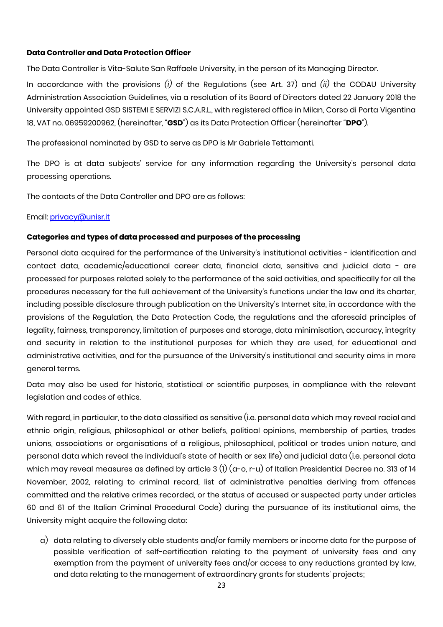### **Data Controller and Data Protection Officer**

The Data Controller is Vita-Salute San Raffaele University, in the person of its Managing Director.

In accordance with the provisions *(i)* of the Regulations (see Art. 37) and *(ii)* the CODAU University Administration Association Guidelines, via a resolution of its Board of Directors dated 22 January 2018 the University appointed GSD SISTEMI E SERVIZI S.C.A.R.L., with registered office in Milan, Corso di Porta Vigentina 18, VAT no. 06959200962, (hereinafter, "**GSD**") as its Data Protection Officer (hereinafter "**DPO**").

The professional nominated by GSD to serve as DPO is Mr Gabriele Tettamanti.

The DPO is at data subjects' service for any information regarding the University's personal data processing operations.

The contacts of the Data Controller and DPO are as follows:

Email: [privacy@unisr.it](mailto:privacy@unisr.it)

#### **Categories and types of data processed and purposes of the processing**

Personal data acquired for the performance of the University's institutional activities - identification and contact data, academic/educational career data, financial data, sensitive and judicial data - are processed for purposes related solely to the performance of the said activities, and specifically for all the procedures necessary for the full achievement of the University's functions under the law and its charter, including possible disclosure through publication on the University's Internet site, in accordance with the provisions of the Regulation, the Data Protection Code, the regulations and the aforesaid principles of legality, fairness, transparency, limitation of purposes and storage, data minimisation, accuracy, integrity and security in relation to the institutional purposes for which they are used, for educational and administrative activities, and for the pursuance of the University's institutional and security aims in more general terms.

Data may also be used for historic, statistical or scientific purposes, in compliance with the relevant legislation and codes of ethics.

With regard, in particular, to the data classified as sensitive (i.e. personal data which may reveal racial and ethnic origin, religious, philosophical or other beliefs, political opinions, membership of parties, trades unions, associations or organisations of a religious, philosophical, political or trades union nature, and personal data which reveal the individual's state of health or sex life) and judicial data (i.e. personal data which may reveal measures as defined by article 3 (1) (a-o, r-u) of Italian Presidential Decree no. 313 of 14 November, 2002, relating to criminal record, list of administrative penalties deriving from offences committed and the relative crimes recorded, or the status of accused or suspected party under articles 60 and 61 of the Italian Criminal Procedural Code) during the pursuance of its institutional aims, the University might acquire the following data:

a) data relating to diversely able students and/or family members or income data for the purpose of possible verification of self-certification relating to the payment of university fees and any exemption from the payment of university fees and/or access to any reductions granted by law, and data relating to the management of extraordinary grants for students' projects;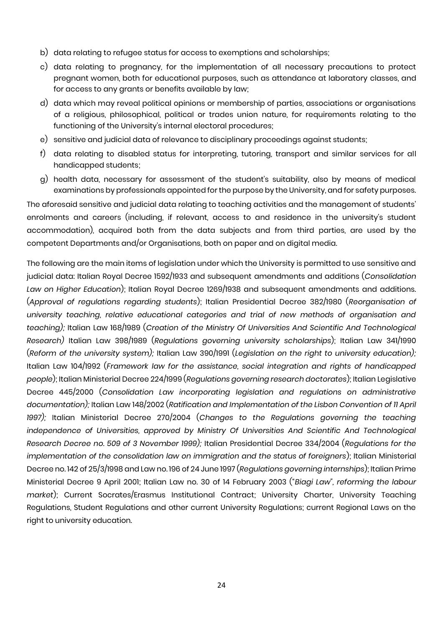- b) data relating to refugee status for access to exemptions and scholarships;
- c) data relating to pregnancy, for the implementation of all necessary precautions to protect pregnant women, both for educational purposes, such as attendance at laboratory classes, and for access to any grants or benefits available by law;
- d) data which may reveal political opinions or membership of parties, associations or organisations of a religious, philosophical, political or trades union nature, for requirements relating to the functioning of the University's internal electoral procedures;
- e) sensitive and judicial data of relevance to disciplinary proceedings against students;
- f) data relating to disabled status for interpreting, tutoring, transport and similar services for all handicapped students;
- g) health data, necessary for assessment of the student's suitability, also by means of medical examinations by professionals appointed for the purpose by the University, and for safety purposes.

The aforesaid sensitive and judicial data relating to teaching activities and the management of students' enrolments and careers (including, if relevant, access to and residence in the university's student accommodation), acquired both from the data subjects and from third parties, are used by the competent Departments and/or Organisations, both on paper and on digital media.

The following are the main items of legislation under which the University is permitted to use sensitive and judicial data: Italian Royal Decree 1592/1933 and subsequent amendments and additions (*Consolidation Law on Higher Education*); Italian Royal Decree 1269/1938 and subsequent amendments and additions. (*Approval of regulations regarding students*); Italian Presidential Decree 382/1980 (*Reorganisation of university teaching, relative educational categories and trial of new methods of organisation and teaching);* Italian Law 168/1989 (*Creation of the Ministry Of Universities And Scientific And Technological Research)* Italian Law 398/1989 (*Regulations governing university scholarships*); Italian Law 341/1990 (*Reform of the university system);* Italian Law 390/1991 (*Legislation on the right to university education);* Italian Law 104/1992 (*Framework law for the assistance, social integration and rights of handicapped people*); Italian Ministerial Decree 224/1999 (*Regulations governing research doctorates*); Italian Legislative Decree 445/2000 (*Consolidation Law incorporating legislation and regulations on administrative documentation);* Italian Law 148/2002 (*Ratification and Implementation of the Lisbon Convention of 11 April 1997);* Italian Ministerial Decree 270/2004 (*Changes to the Regulations governing the teaching independence of Universities, approved by Ministry Of Universities And Scientific And Technological Research Decree no. 509 of 3 November 1999);* Italian Presidential Decree 334/2004 (*Regulations for the implementation of the consolidation law on immigration and the status of foreigners*); Italian Ministerial Decree no. 142 of 25/3/1998 and Law no. 196 of 24 June 1997 (*Regulations governing internships*); Italian Prime Ministerial Decree 9 April 2001; Italian Law no. 30 of 14 February 2003 ("*Biagi Law", reforming the labour market*); Current Socrates/Erasmus Institutional Contract; University Charter, University Teaching Regulations, Student Regulations and other current University Regulations; current Regional Laws on the right to university education.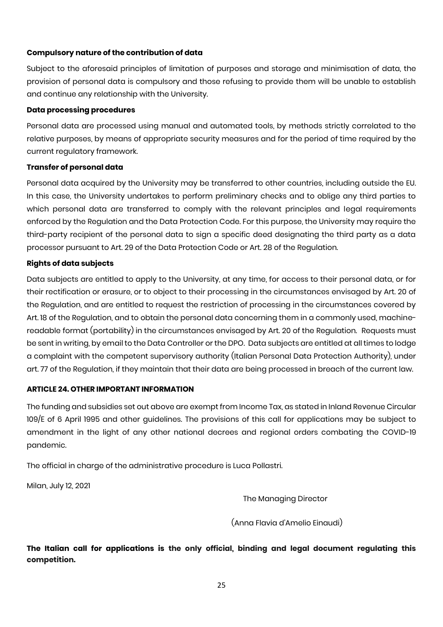## **Compulsory nature of the contribution of data**

Subject to the aforesaid principles of limitation of purposes and storage and minimisation of data, the provision of personal data is compulsory and those refusing to provide them will be unable to establish and continue any relationship with the University.

### **Data processing procedures**

Personal data are processed using manual and automated tools, by methods strictly correlated to the relative purposes, by means of appropriate security measures and for the period of time required by the current regulatory framework.

## **Transfer of personal data**

Personal data acquired by the University may be transferred to other countries, including outside the EU. In this case, the University undertakes to perform preliminary checks and to oblige any third parties to which personal data are transferred to comply with the relevant principles and legal requirements enforced by the Regulation and the Data Protection Code. For this purpose, the University may require the third-party recipient of the personal data to sign a specific deed designating the third party as a data processor pursuant to Art. 29 of the Data Protection Code or Art. 28 of the Regulation.

## **Rights of data subjects**

Data subjects are entitled to apply to the University, at any time, for access to their personal data, or for their rectification or erasure, or to object to their processing in the circumstances envisaged by Art. 20 of the Regulation, and are entitled to request the restriction of processing in the circumstances covered by Art. 18 of the Regulation, and to obtain the personal data concerning them in a commonly used, machinereadable format (portability) in the circumstances envisaged by Art. 20 of the Regulation. Requests must be sent in writing, by email to the Data Controller or the DPO. Data subjects are entitled at all times to lodge a complaint with the competent supervisory authority (Italian Personal Data Protection Authority), under art. 77 of the Regulation, if they maintain that their data are being processed in breach of the current law.

## **ARTICLE 24. OTHER IMPORTANT INFORMATION**

The funding and subsidies set out above are exempt from Income Tax, as stated in Inland Revenue Circular 109/E of 6 April 1995 and other guidelines. The provisions of this call for applications may be subject to amendment in the light of any other national decrees and regional orders combating the COVID-19 pandemic.

The official in charge of the administrative procedure is Luca Pollastri.

Milan, July 12, 2021

The Managing Director

(Anna Flavia d'Amelio Einaudi)

**The Italian call for applications is the only official, binding and legal document regulating this competition.**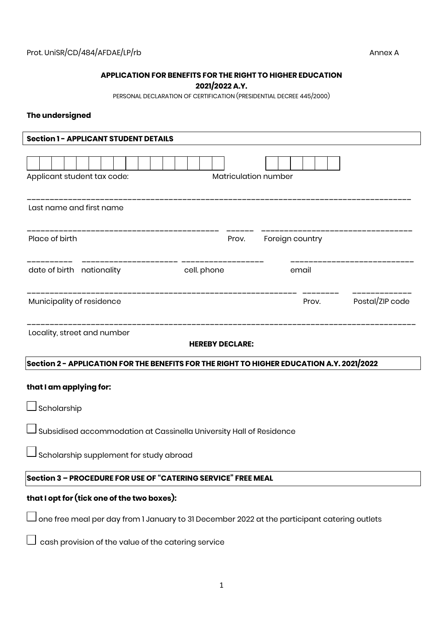## **APPLICATION FOR BENEFITS FOR THE RIGHT TO HIGHER EDUCATION**

## **2021/2022 A.Y.**

PERSONAL DECLARATION OF CERTIFICATION (PRESIDENTIAL DECREE 445/2000)

## **The undersigned**

| <b>Section 1 - APPLICANT STUDENT DETAILS</b>                                                 |                              |                                                      |                 |  |  |  |  |  |  |  |  |
|----------------------------------------------------------------------------------------------|------------------------------|------------------------------------------------------|-----------------|--|--|--|--|--|--|--|--|
|                                                                                              |                              |                                                      |                 |  |  |  |  |  |  |  |  |
| Applicant student tax code:                                                                  | Matriculation number         |                                                      |                 |  |  |  |  |  |  |  |  |
| _________________<br>Last name and first name                                                |                              |                                                      |                 |  |  |  |  |  |  |  |  |
| Place of birth                                                                               |                              | ---------------------------<br>Prov. Foreign country |                 |  |  |  |  |  |  |  |  |
| date of birth nationality                                                                    | <b>Example 1</b> Cell. phone | email                                                |                 |  |  |  |  |  |  |  |  |
| Municipality of residence                                                                    |                              | Prov.                                                | Postal/ZIP code |  |  |  |  |  |  |  |  |
| ___________________________________<br>Locality, street and number<br><b>HEREBY DECLARE:</b> |                              |                                                      |                 |  |  |  |  |  |  |  |  |
| Section 2 – APPLICATION FOR THE BENEFITS FOR THE RIGHT TO HIGHER EDUCATION A.Y. 2021/2022    |                              |                                                      |                 |  |  |  |  |  |  |  |  |
| that I am applying for:                                                                      |                              |                                                      |                 |  |  |  |  |  |  |  |  |
| $\sqcup$ Scholarship                                                                         |                              |                                                      |                 |  |  |  |  |  |  |  |  |
| Subsidised accommodation at Cassinella University Hall of Residence                          |                              |                                                      |                 |  |  |  |  |  |  |  |  |
| Scholarship supplement for study abroad                                                      |                              |                                                      |                 |  |  |  |  |  |  |  |  |
| Section 3 - PROCEDURE FOR USE OF "CATERING SERVICE" FREE MEAL                                |                              |                                                      |                 |  |  |  |  |  |  |  |  |
| that I opt for (tick one of the two boxes):                                                  |                              |                                                      |                 |  |  |  |  |  |  |  |  |
| one free meal per day from 1 January to 31 December 2022 at the participant catering outlets |                              |                                                      |                 |  |  |  |  |  |  |  |  |
| cash provision of the value of the catering service                                          |                              |                                                      |                 |  |  |  |  |  |  |  |  |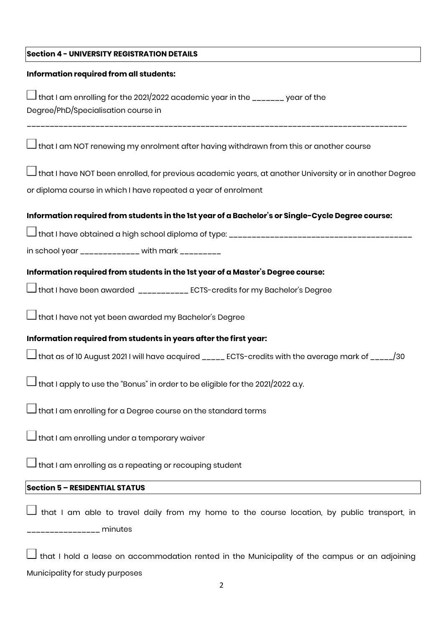| <b>Section 4 - UNIVERSITY REGISTRATION DETAILS</b>                                                                                         |
|--------------------------------------------------------------------------------------------------------------------------------------------|
| Information required from all students:                                                                                                    |
| that I am enrolling for the 2021/2022 academic year in the _______ year of the<br>Degree/PhD/Specialisation course in                      |
| $\Box$ that I am NOT renewing my enrolment after having withdrawn from this or another course                                              |
| $\Box$ that I have NOT been enrolled, for previous academic years, at another University or in another Degree                              |
| or diploma course in which I have repeated a year of enrolment                                                                             |
| Information required from students in the 1st year of a Bachelor's or Single-Cycle Degree course:                                          |
|                                                                                                                                            |
| in school year _____________ with mark _________                                                                                           |
| Information required from students in the 1st year of a Master's Degree course:                                                            |
| $\Box$ that I have been awarded $\hspace{0.1cm} _{ \rule{1.5cm}{0.1cm} \rule{0.1cm} \rule{0.1cm} }$ LecTS-credits for my Bachelor's Degree |
| $\Box$ that I have not yet been awarded my Bachelor's Degree                                                                               |
| Information required from students in years after the first year:                                                                          |
| $\Box$ that as of 10 August 2021 I will have acquired _____ ECTS-credits with the average mark of _____/30                                 |
| $\overline{\mathsf{J}}$ that I apply to use the "Bonus" in order to be eligible for the 2021/2022 a.y.                                     |
| $\Box$ that I am enrolling for a Degree course on the standard terms                                                                       |
| $\Box$ that I am enrolling under a temporary waiver                                                                                        |
| $\Box$ that I am enrolling as a repeating or recouping student                                                                             |
| <b>Section 5 - RESIDENTIAL STATUS</b>                                                                                                      |
| that I am able to travel daily from my home to the course location, by public transport, in                                                |
| that I hold a lease on accommodation rented in the Municipality of the campus or an adjoining<br>Municipality for study purposes<br>2      |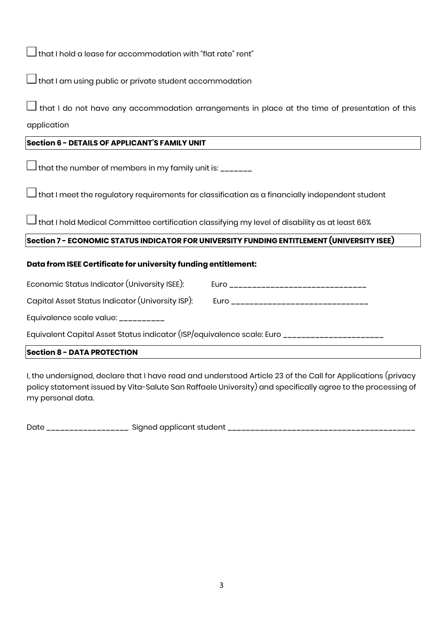$\Box$  that I hold a lease for accommodation with "flat rate" rent"

 $\Box$  that I am using public or private student accommodation

 $\mathsf J$  that I do not have any accommodation arrangements in place at the time of presentation of this application

## **Section 6 - DETAILS OF APPLICANT'S FAMILY UNIT**

 $\bigsqcup$  that the number of members in my family unit is: \_\_\_\_\_\_\_

 $\Box$  that I meet the regulatory requirements for classification as a financially independent student

 $\mathsf{\overline{\bot}}$ that I hold Medical Committee certification classifying my level of disability as at least 66%

# **Section 7 - ECONOMIC STATUS INDICATOR FOR UNIVERSITY FUNDING ENTITLEMENT (UNIVERSITY ISEE)**

## **Data from ISEE Certificate for university funding entitlement:**

| Economic Status Indicator (University ISEE): | Eurc<br>___________________________ |
|----------------------------------------------|-------------------------------------|
|----------------------------------------------|-------------------------------------|

Capital Asset Status Indicator (University ISP): Euro \_\_\_\_\_\_\_\_\_\_\_\_\_\_\_\_\_\_\_\_\_\_\_\_\_\_

Equivalence scale value: \_\_\_\_\_\_\_\_\_\_

Equivalent Capital Asset Status indicator (ISP/equivalence scale: Euro \_\_\_\_\_\_\_\_\_\_\_\_\_\_\_\_\_\_\_\_

## **Section 8 - DATA PROTECTION**

I, the undersigned, declare that I have read and understood Article 23 of the Call for Applications (privacy policy statement issued by Vita-Salute San Raffaele University) and specifically agree to the processing of my personal data.

Date \_\_\_\_\_\_\_\_\_\_\_\_\_\_\_\_\_\_ Signed applicant student \_\_\_\_\_\_\_\_\_\_\_\_\_\_\_\_\_\_\_\_\_\_\_\_\_\_\_\_\_\_\_\_\_\_\_\_\_\_\_\_\_